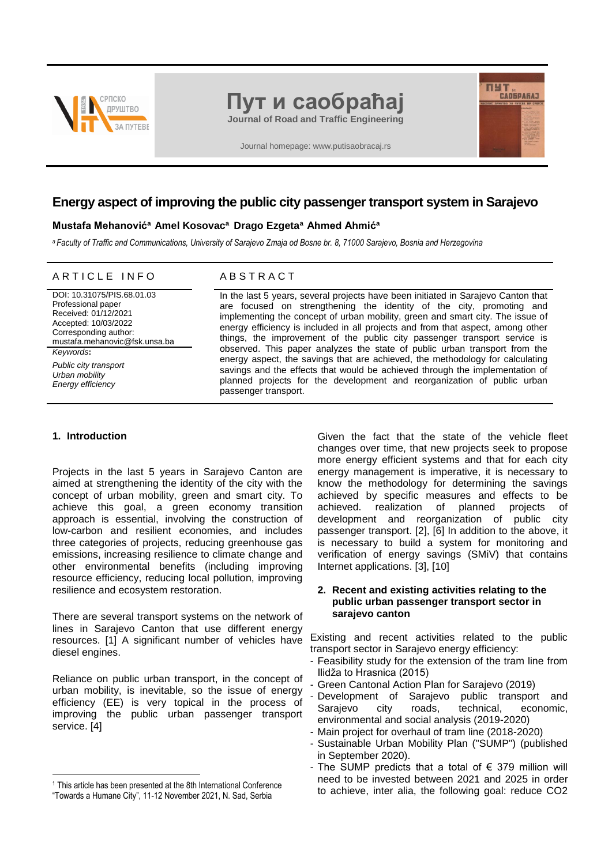

# **Пут и саобраћај**

**Journal of Road and Traffic Engineering**

Journal homepage: www.putisaobracaj.rs

# **Energy aspect of improving the public city passenger transport system in Sarajevo**

#### **Mustafa Mehanović<sup>a</sup>Amel Kosovac<sup>a</sup>Drago Ezgeta<sup>a</sup>Ahmed Ahmić<sup>a</sup>**

*<sup>a</sup>Faculty of Traffic and Communications, University of Sarajevo Zmaja od Bosne br. 8, 71000 Sarajevo, Bosnia and Herzegovina*

#### ARTICLE INFO ABSTRACT

DOI: 10.31075/PIS.68.01.03 Professional paper Received: 01/12/2021 Accepted: 10/03/2022 Corresponding author: mustafa.mehanovic@fsk.unsa.ba *Keywords***:** *Public city transport Urban mobility Energy efficiency*

In the last 5 years, several projects have been initiated in Sarajevo Canton that are focused on strengthening the identity of the city, promoting and implementing the concept of urban mobility, green and smart city. The issue of energy efficiency is included in all projects and from that aspect, among other things, the improvement of the public city passenger transport service is observed. This paper analyzes the state of public urban transport from the energy aspect, the savings that are achieved, the methodology for calculating savings and the effects that would be achieved through the implementation of planned projects for the development and reorganization of public urban passenger transport.

### **1. Introduction <sup>1</sup>**

1

Projects in the last 5 years in Sarajevo Canton are aimed at strengthening the identity of the city with the concept of urban mobility, green and smart city. To achieve this goal, a green economy transition approach is essential, involving the construction of low-carbon and resilient economies, and includes three categories of projects, reducing greenhouse gas emissions, increasing resilience to climate change and other environmental benefits (including improving resource efficiency, reducing local pollution, improving resilience and ecosystem restoration.

There are several transport systems on the network of lines in Sarajevo Canton that use different energy resources. [1] A significant number of vehicles have diesel engines.

Reliance on public urban transport, in the concept of urban mobility, is inevitable, so the issue of energy efficiency (EE) is very topical in the process of improving the public urban passenger transport service. [4]

Given the fact that the state of the vehicle fleet changes over time, that new projects seek to propose more energy efficient systems and that for each city energy management is imperative, it is necessary to know the methodology for determining the savings achieved by specific measures and effects to be achieved. realization of planned projects of development and reorganization of public city passenger transport. [2], [6] In addition to the above, it is necessary to build a system for monitoring and verification of energy savings (SMiV) that contains Internet applications. [3], [10]

**THE CAOSPARAT** 

#### **2. Recent and existing activities relating to the public urban passenger transport sector in sarajevo canton**

Existing and recent activities related to the public transport sector in Sarajevo energy efficiency:

- Feasibility study for the extension of the tram line from Ilidža to Hrasnica (2015)
- Green Cantonal Action Plan for Sarajevo (2019)
- Development of Sarajevo public transport and Sarajevo city roads, technical, economic, environmental and social analysis (2019-2020)
- Main project for overhaul of tram line (2018-2020)
- Sustainable Urban Mobility Plan ("SUMP") (published in September 2020).
- The SUMP predicts that a total of  $\epsilon$  379 million will need to be invested between 2021 and 2025 in order to achieve, inter alia, the following goal: reduce CO2

<sup>1</sup> This article has been presented at the 8th International Conference

<sup>&</sup>quot;Towards a Humane City", 11-12 November 2021, N. Sad, Serbia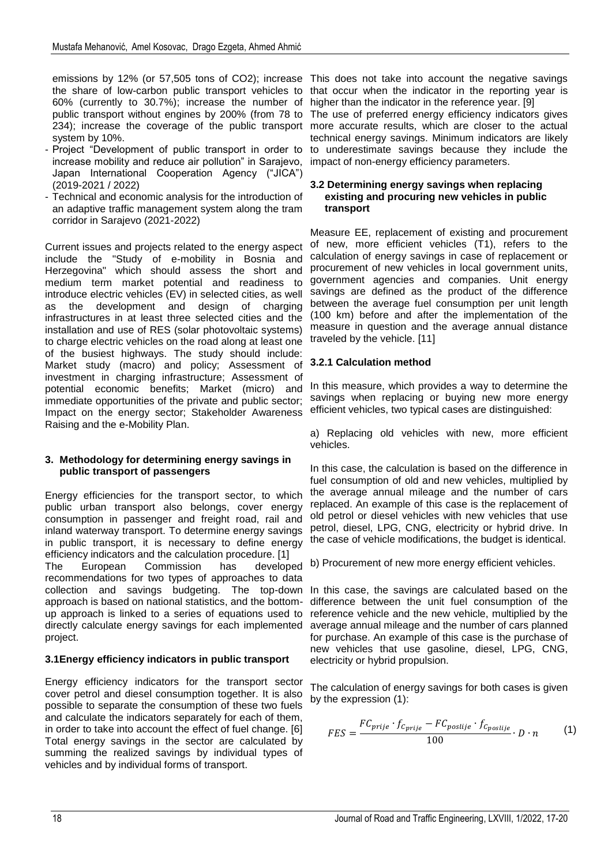the share of low-carbon public transport vehicles to 60% (currently to 30.7%); increase the number of public transport without engines by 200% (from 78 to system by 10%.

- Project "Development of public transport in order to increase mobility and reduce air pollution" in Sarajevo, Japan International Cooperation Agency ("JICA") (2019-2021 / 2022)
- Technical and economic analysis for the introduction of an adaptive traffic management system along the tram corridor in Sarajevo (2021-2022)

Current issues and projects related to the energy aspect include the "Study of e-mobility in Bosnia and Herzegovina" which should assess the short and medium term market potential and readiness to introduce electric vehicles (EV) in selected cities, as well as the development and design of charging infrastructures in at least three selected cities and the installation and use of RES (solar photovoltaic systems) to charge electric vehicles on the road along at least one of the busiest highways. The study should include: Market study (macro) and policy; Assessment of investment in charging infrastructure; Assessment of potential economic benefits; Market (micro) and immediate opportunities of the private and public sector; Impact on the energy sector; Stakeholder Awareness Raising and the e-Mobility Plan.

# **3. Methodology for determining energy savings in public transport of passengers**

Energy efficiencies for the transport sector, to which public urban transport also belongs, cover energy consumption in passenger and freight road, rail and inland waterway transport. To determine energy savings in public transport, it is necessary to define energy efficiency indicators and the calculation procedure. [1] The European Commission has developed recommendations for two types of approaches to data collection and savings budgeting. The top-down In this case, the savings are calculated based on the approach is based on national statistics, and the bottom-difference between the unit fuel consumption of the up approach is linked to a series of equations used to reference vehicle and the new vehicle, multiplied by the directly calculate energy savings for each implemented vaverage annual mileage and the number of cars planned project.

# **3.1Energy efficiency indicators in public transport**

Energy efficiency indicators for the transport sector cover petrol and diesel consumption together. It is also possible to separate the consumption of these two fuels and calculate the indicators separately for each of them, in order to take into account the effect of fuel change. [6] Total energy savings in the sector are calculated by summing the realized savings by individual types of vehicles and by individual forms of transport.

emissions by 12% (or 57,505 tons of CO2); increase This does not take into account the negative savings 234); increase the coverage of the public transport more accurate results, which are closer to the actual that occur when the indicator in the reporting year is higher than the indicator in the reference year. [9] The use of preferred energy efficiency indicators gives technical energy savings. Minimum indicators are likely to underestimate savings because they include the impact of non-energy efficiency parameters.

# **3.2 Determining energy savings when replacing existing and procuring new vehicles in public transport**

Measure EE, replacement of existing and procurement of new, more efficient vehicles (T1), refers to the calculation of energy savings in case of replacement or procurement of new vehicles in local government units, government agencies and companies. Unit energy savings are defined as the product of the difference between the average fuel consumption per unit length (100 km) before and after the implementation of the measure in question and the average annual distance traveled by the vehicle. [11]

# **3.2.1 Calculation method**

In this measure, which provides a way to determine the savings when replacing or buying new more energy efficient vehicles, two typical cases are distinguished:

a) Replacing old vehicles with new, more efficient vehicles.

In this case, the calculation is based on the difference in fuel consumption of old and new vehicles, multiplied by the average annual mileage and the number of cars replaced. An example of this case is the replacement of old petrol or diesel vehicles with new vehicles that use petrol, diesel, LPG, CNG, electricity or hybrid drive. In the case of vehicle modifications, the budget is identical.

b) Procurement of new more energy efficient vehicles.

for purchase. An example of this case is the purchase of new vehicles that use gasoline, diesel, LPG, CNG, electricity or hybrid propulsion.

The calculation of energy savings for both cases is given by the expression (1):

$$
FES = \frac{FC_{prije} \cdot f_{C_{prije}} - FC_{postije} \cdot f_{C_{postije}}}{100} \cdot D \cdot n \tag{1}
$$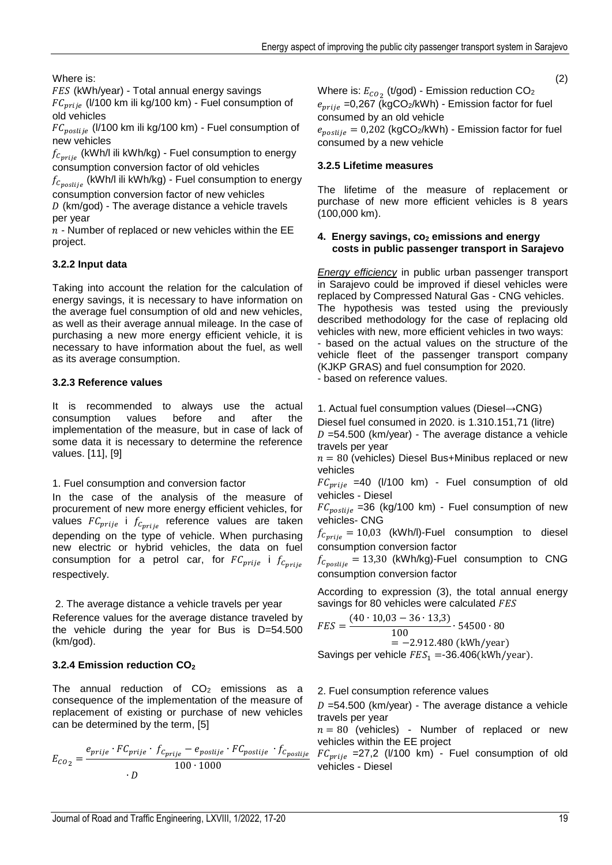Where is:

FES (kWh/year) - Total annual energy savings

 $FC_{prije}$  (l/100 km ili kg/100 km) - Fuel consumption of old vehicles

 $FC_{positive}$  (l/100 km ili kg/100 km) - Fuel consumption of new vehicles

 $f_{C_{\text{prile}}}$  (kWh/l ili kWh/kg) - Fuel consumption to energy consumption conversion factor of old vehicles

 $f_{C_{positive}}$  (kWh/l ili kWh/kg) - Fuel consumption to energy consumption conversion factor of new vehicles

 $D$  (km/god) - The average distance a vehicle travels per year

 $n$  - Number of replaced or new vehicles within the EE project.

# **3.2.2 Input data**

Taking into account the relation for the calculation of energy savings, it is necessary to have information on the average fuel consumption of old and new vehicles, as well as their average annual mileage. In the case of purchasing a new more energy efficient vehicle, it is necessary to have information about the fuel, as well as its average consumption.

# **3.2.3 Reference values**

It is recommended to always use the actual consumption values before and after the implementation of the measure, but in case of lack of some data it is necessary to determine the reference values. [11], [9]

# 1. Fuel consumption and conversion factor

In the case of the analysis of the measure of procurement of new more energy efficient vehicles, for values  $FC_{prije}$  i  $f_{C_{prije}}$  reference values are taken depending on the type of vehicle. When purchasing new electric or hybrid vehicles, the data on fuel consumption for a petrol car, for  $FC_{prije}$  i  $f_{C_{prije}}$ respectively.

# 2. The average distance a vehicle travels per year

Reference values for the average distance traveled by the vehicle during the year for Bus is D=54.500 (km/god).

# **3.2.4 Emission reduction CO<sup>2</sup>**

The annual reduction of  $CO<sub>2</sub>$  emissions as a consequence of the implementation of the measure of replacement of existing or purchase of new vehicles can be determined by the term, [5]

$$
E_{CO_2} = \frac{e_{prije} \cdot FC_{prije} \cdot f_{C_{prije}} - e_{poslije} \cdot FC_{poslije} \cdot f_{C_{poslije}}}{100 \cdot 1000}
$$

(2) Where is:  $E_{CO_\mathrm{2}}$  (t/god) - Emission reduction CO $_2$  $e_{prije}$  =0,267 (kgCO2/kWh) - Emission factor for fuel consumed by an old vehicle

 $e_{positive} = 0.202$  (kgCO<sub>2</sub>/kWh) - Emission factor for fuel consumed by a new vehicle

# **3.2.5 Lifetime measures**

The lifetime of the measure of replacement or purchase of new more efficient vehicles is 8 years (100,000 km).

# **4. Energy savings, co<sup>2</sup> emissions and energy costs in public passenger transport in Sarajevo**

*Energy efficiency* in public urban passenger transport in Sarajevo could be improved if diesel vehicles were replaced by Compressed Natural Gas - CNG vehicles. The hypothesis was tested using the previously described methodology for the case of replacing old vehicles with new, more efficient vehicles in two ways: - based on the actual values on the structure of the vehicle fleet of the passenger transport company (KJKP GRAS) and fuel consumption for 2020. - based on reference values.

1. Actual fuel consumption values (Diesel→CNG)

Diesel fuel consumed in 2020. is 1.310.151,71 (litre)  $D = 54.500$  (km/year) - The average distance a vehicle travels per year

 $n = 80$  (vehicles) Diesel Bus+Minibus replaced or new vehicles

 $FC_{\text{priie}}$  =40 (l/100 km) - Fuel consumption of old vehicles - Diesel

 $FC_{positive}$  =36 (kg/100 km) - Fuel consumption of new vehicles- CNG

 $f_{C_{\text{prije}}} = 10,03$  (kWh/l)-Fuel consumption to diesel consumption conversion factor

 $f_{C_{positive}} = 13,30$  (kWh/kg)-Fuel consumption to CNG consumption conversion factor

According to expression (3), the total annual energy savings for 80 vehicles were calculated FES

$$
FES = \frac{(40 \cdot 10,03 - 36 \cdot 13,3)}{100} \cdot 54500 \cdot 80
$$
  
= -2.912.480 (kWh/year)

Savings per vehicle  $FES_1 = -36.406(kWh/year)$ .

# 2. Fuel consumption reference values

 $D = 54.500$  (km/year) - The average distance a vehicle travels per year

 $n = 80$  (vehicles) - Number of replaced or new vehicles within the EE project

 $\frac{e}{2}$  FC<sub>prije</sub> = 27,2 (I/100 km) - Fuel consumption of old vehicles - Diesel